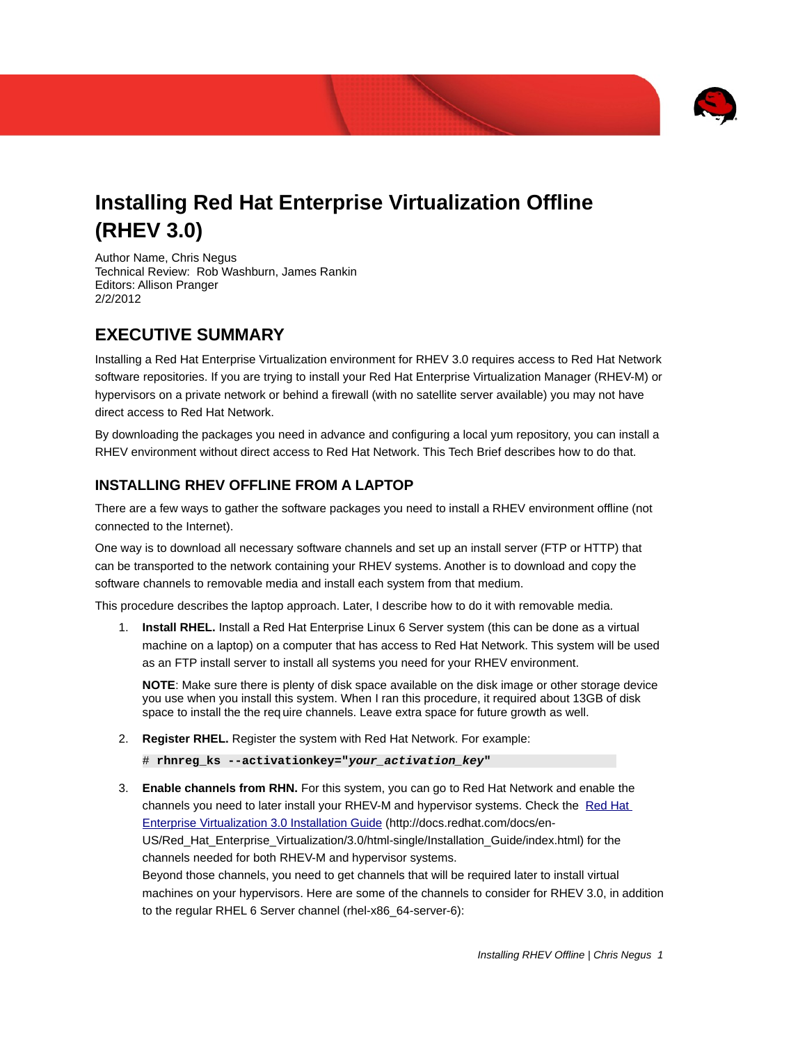

# **Installing Red Hat Enterprise Virtualization Offline (RHEV 3.0)**

Author Name, Chris Negus Technical Review: Rob Washburn, James Rankin Editors: Allison Pranger 2/2/2012

### **EXECUTIVE SUMMARY**

Installing a Red Hat Enterprise Virtualization environment for RHEV 3.0 requires access to Red Hat Network software repositories. If you are trying to install your Red Hat Enterprise Virtualization Manager (RHEV-M) or hypervisors on a private network or behind a firewall (with no satellite server available) you may not have direct access to Red Hat Network.

By downloading the packages you need in advance and configuring a local yum repository, you can install a RHEV environment without direct access to Red Hat Network. This Tech Brief describes how to do that.

### **INSTALLING RHEV OFFLINE FROM A LAPTOP**

There are a few ways to gather the software packages you need to install a RHEV environment offline (not connected to the Internet).

One way is to download all necessary software channels and set up an install server (FTP or HTTP) that can be transported to the network containing your RHEV systems. Another is to download and copy the software channels to removable media and install each system from that medium.

This procedure describes the laptop approach. Later, I describe how to do it with removable media.

1. **Install RHEL.** Install a Red Hat Enterprise Linux 6 Server system (this can be done as a virtual machine on a laptop) on a computer that has access to Red Hat Network. This system will be used as an FTP install server to install all systems you need for your RHEV environment.

**NOTE**: Make sure there is plenty of disk space available on the disk image or other storage device you use when you install this system. When I ran this procedure, it required about 13GB of disk space to install the the req uire channels. Leave extra space for future growth as well.

2. **Register RHEL.** Register the system with Red Hat Network. For example:

# **rhnreg\_ks --activationkey="***your\_activation\_key***"**

3. **Enable channels from RHN.** For this system, you can go to Red Hat Network and enable the channels you need to later install your RHEV-M and hypervisor systems. Check the [Red Hat](http://docs.redhat.com/docs/en-US/Red_Hat_Enterprise_Virtualization/3.0/html-single/Installation_Guide/index.html) [Enterprise Virtualization 3.0 Installation Guide](http://docs.redhat.com/docs/en-US/Red_Hat_Enterprise_Virtualization/3.0/html-single/Installation_Guide/index.html) (http://docs.redhat.com/docs/en-US/Red\_Hat\_Enterprise\_Virtualization/3.0/html-single/Installation\_Guide/index.html) for the channels needed for both RHEV-M and hypervisor systems. Beyond those channels, you need to get channels that will be required later to install virtual machines on your hypervisors. Here are some of the channels to consider for RHEV 3.0, in addition

to the regular RHEL 6 Server channel (rhel-x86\_64-server-6):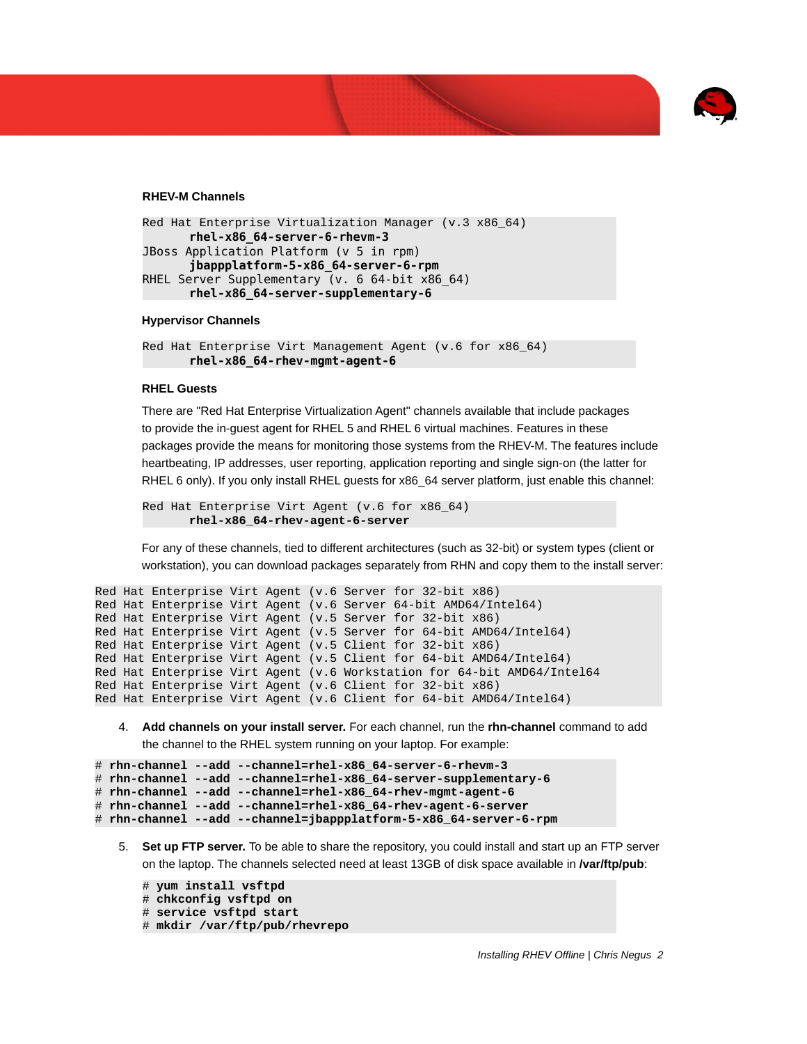

#### **RHEV-M Channels**

```
Red Hat Enterprise Virtualization Manager (v.3 x86_64)
      rhel-x86_64-server-6-rhevm-3
JBoss Application Platform (v 5 in rpm)
      jbappplatform-5-x86_64-server-6-rpm
RHEL Server Supplementary (v. 6 64-bit x86_64)
      rhel-x86_64-server-supplementary-6
```
#### **Hypervisor Channels**

```
Red Hat Enterprise Virt Management Agent (v.6 for x86_64)
      rhel-x86_64-rhev-mgmt-agent-6
```
#### **RHEL Guests**

There are "Red Hat Enterprise Virtualization Agent" channels available that include packages to provide the in-guest agent for RHEL 5 and RHEL 6 virtual machines. Features in these packages provide the means for monitoring those systems from the RHEV-M. The features include heartbeating, IP addresses, user reporting, application reporting and single sign-on (the latter for RHEL 6 only). If you only install RHEL guests for x86 64 server platform, just enable this channel:

```
Red Hat Enterprise Virt Agent (v.6 for x86_64)
      rhel-x86_64-rhev-agent-6-server
```
For any of these channels, tied to different architectures (such as 32-bit) or system types (client or workstation), you can download packages separately from RHN and copy them to the install server:

```
Red Hat Enterprise Virt Agent (v.6 Server for 32-bit x86)
Red Hat Enterprise Virt Agent (v.6 Server 64-bit AMD64/Intel64)
Red Hat Enterprise Virt Agent (v.5 Server for 32-bit x86)
Red Hat Enterprise Virt Agent (v.5 Server for 64-bit AMD64/Intel64)
Red Hat Enterprise Virt Agent (v.5 Client for 32-bit x86)
Red Hat Enterprise Virt Agent (v.5 Client for 64-bit AMD64/Intel64)
Red Hat Enterprise Virt Agent (v.6 Workstation for 64-bit AMD64/Intel64
Red Hat Enterprise Virt Agent (v.6 Client for 32-bit x86)
Red Hat Enterprise Virt Agent (v.6 Client for 64-bit AMD64/Intel64)
```
4. **Add channels on your install server.** For each channel, run the **rhn-channel** command to add

the channel to the RHEL system running on your laptop. For example:

```
# rhn-channel --add --channel=rhel-x86_64-server-6-rhevm-3
```
# **rhn-channel --add --channel=rhel-x86\_64-server-supplementary-6**

```
# rhn-channel --add --channel=rhel-x86_64-rhev-mgmt-agent-6
```
# **rhn-channel --add --channel=rhel-x86\_64-rhev-agent-6-server**

```
# rhn-channel --add --channel=jbappplatform-5-x86_64-server-6-rpm
```
5. **Set up FTP server.** To be able to share the repository, you could install and start up an FTP server on the laptop. The channels selected need at least 13GB of disk space available in **/var/ftp/pub**:

```
# yum install vsftpd
# chkconfig vsftpd on
# service vsftpd start
# mkdir /var/ftp/pub/rhevrepo
```
*Installing RHEV Offline | Chris Negus 2*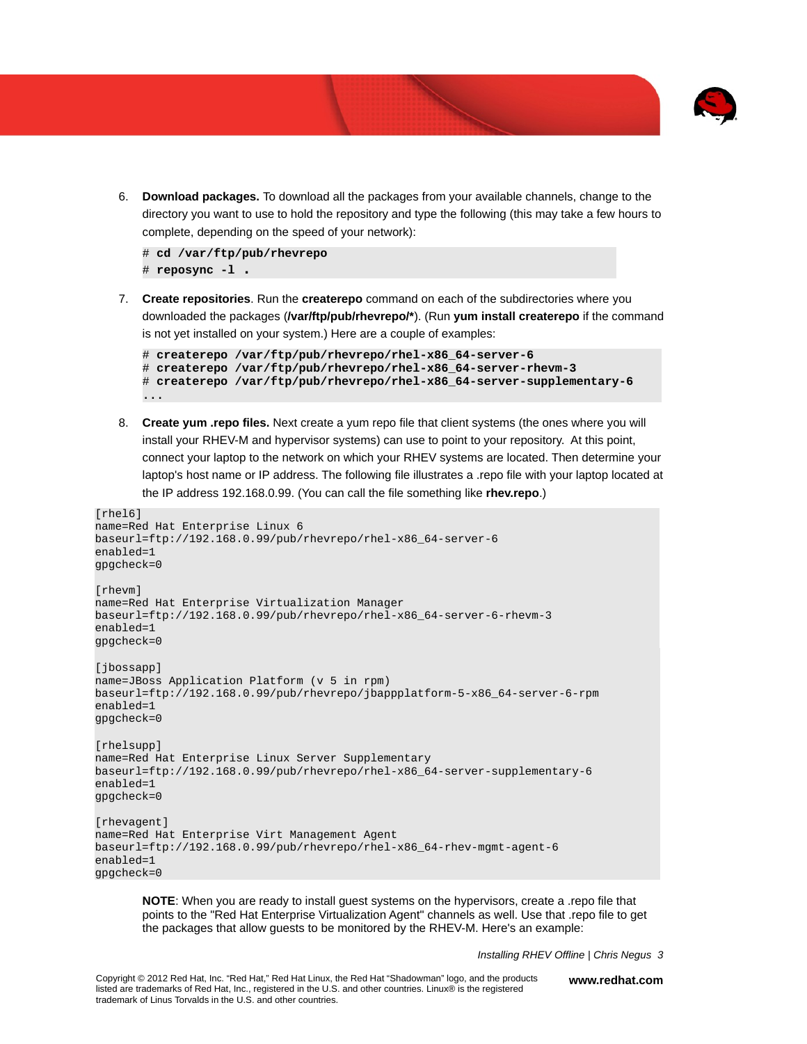

6. **Download packages.** To download all the packages from your available channels, change to the directory you want to use to hold the repository and type the following (this may take a few hours to complete, depending on the speed of your network):

# **cd /var/ftp/pub/rhevrepo** # **reposync -l .**

7. **Create repositories**. Run the **createrepo** command on each of the subdirectories where you downloaded the packages (**/var/ftp/pub/rhevrepo/\***). (Run **yum install createrepo** if the command is not yet installed on your system.) Here are a couple of examples:

```
# createrepo /var/ftp/pub/rhevrepo/rhel-x86_64-server-6
# createrepo /var/ftp/pub/rhevrepo/rhel-x86_64-server-rhevm-3
# createrepo /var/ftp/pub/rhevrepo/rhel-x86_64-server-supplementary-6
...
```
8. **Create yum .repo files.** Next create a yum repo file that client systems (the ones where you will install your RHEV-M and hypervisor systems) can use to point to your repository. At this point, connect your laptop to the network on which your RHEV systems are located. Then determine your laptop's host name or IP address. The following file illustrates a .repo file with your laptop located at the IP address 192.168.0.99. (You can call the file something like **rhev.repo**.)

```
[rhel6]
name=Red Hat Enterprise Linux 6 
baseurl=ftp://192.168.0.99/pub/rhevrepo/rhel-x86_64-server-6
enabled=1 
gpgcheck=0 
[rhevm] 
name=Red Hat Enterprise Virtualization Manager 
baseurl=ftp://192.168.0.99/pub/rhevrepo/rhel-x86_64-server-6-rhevm-3 
enabled=1 
gpgcheck=0
[jbossapp] 
name=JBoss Application Platform (v 5 in rpm)
baseurl=ftp://192.168.0.99/pub/rhevrepo/jbappplatform-5-x86_64-server-6-rpm 
enabled=1 
gpgcheck=0 
[rhelsupp] 
name=Red Hat Enterprise Linux Server Supplementary 
baseurl=ftp://192.168.0.99/pub/rhevrepo/rhel-x86_64-server-supplementary-6 
enabled=1 
gpgcheck=0 
[rhevagent]
name=Red Hat Enterprise Virt Management Agent 
baseurl=ftp://192.168.0.99/pub/rhevrepo/rhel-x86_64-rhev-mgmt-agent-6
enabled=1
gpgcheck=0
```
**NOTE**: When you are ready to install guest systems on the hypervisors, create a .repo file that points to the "Red Hat Enterprise Virtualization Agent" channels as well. Use that .repo file to get the packages that allow guests to be monitored by the RHEV-M. Here's an example:

*Installing RHEV Offline | Chris Negus 3*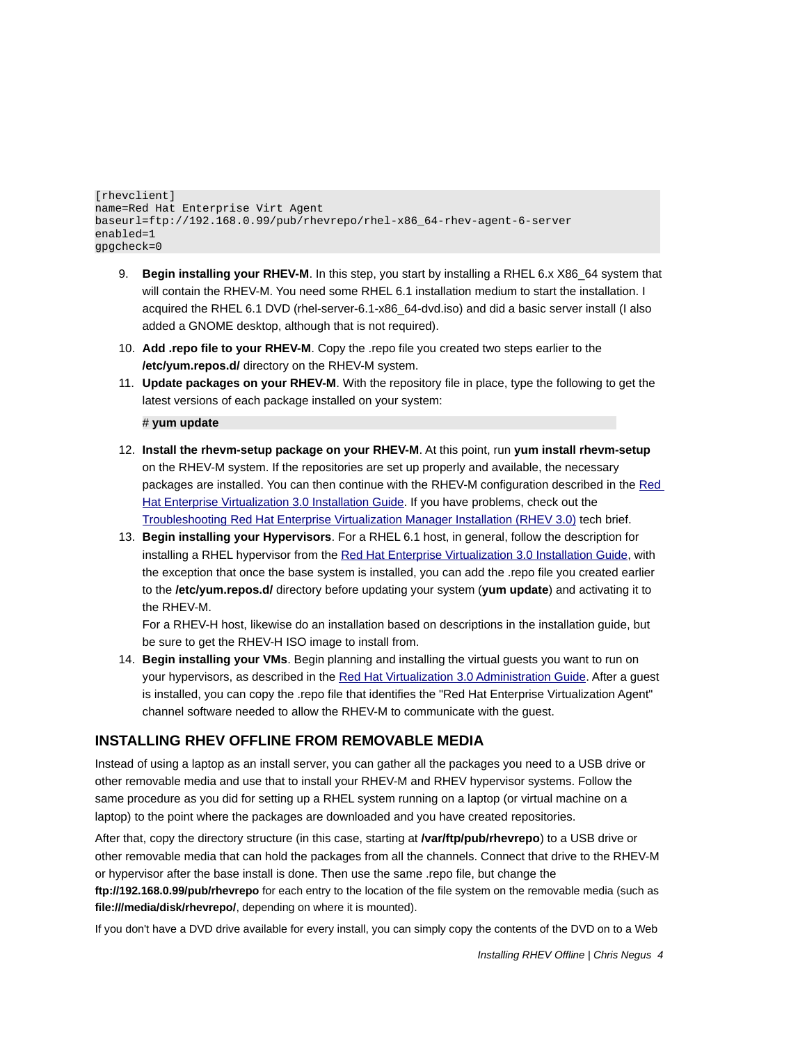[rhevclient] name=Red Hat Enterprise Virt Agent baseurl=ftp://192.168.0.99/pub/rhevrepo/rhel-x86\_64-rhev-agent-6-server enabled=1 gpgcheck=0

- 9. **Begin installing your RHEV-M**. In this step, you start by installing a RHEL 6.x X86\_64 system that will contain the RHEV-M. You need some RHEL 6.1 installation medium to start the installation. I acquired the RHEL 6.1 DVD (rhel-server-6.1-x86\_64-dvd.iso) and did a basic server install (I also added a GNOME desktop, although that is not required).
- 10. **Add .repo file to your RHEV-M**. Copy the .repo file you created two steps earlier to the **/etc/yum.repos.d/** directory on the RHEV-M system.
- 11. **Update packages on your RHEV-M**. With the repository file in place, type the following to get the latest versions of each package installed on your system:

#### # **yum update**

- 12. **Install the rhevm-setup package on your RHEV-M**. At this point, run **yum install rhevm-setup** on the RHEV-M system. If the repositories are set up properly and available, the necessary packages are installed. You can then continue with the RHEV-M configuration described in the [Red](http://docs.redhat.com/docs/en-US/Red_Hat_Enterprise_Virtualization/3.0/html-single/Installation_Guide/index.html) [Hat Enterprise Virtualization 3.0 Installation Guide.](http://docs.redhat.com/docs/en-US/Red_Hat_Enterprise_Virtualization/3.0/html-single/Installation_Guide/index.html) If you have problems, check out the [Troubleshooting Red Hat Enterprise Virtualization Manager Installation \(RHEV 3.0\)](https://access.redhat.com/knowledge/techbriefs/troubleshooting-red-hat-enterprise-virtualization-manager-installation-rhev-30) tech brief.
- 13. **Begin installing your Hypervisors**. For a RHEL 6.1 host, in general, follow the description for installing a RHEL hypervisor from the [Red Hat Enterprise Virtualization 3.0 Installation Guide,](http://docs.redhat.com/docs/en-US/Red_Hat_Enterprise_Virtualization/3.0/html-single/Installation_Guide/index.html) with the exception that once the base system is installed, you can add the .repo file you created earlier to the **/etc/yum.repos.d/** directory before updating your system (**yum update**) and activating it to the RHEV-M.

For a RHEV-H host, likewise do an installation based on descriptions in the installation guide, but be sure to get the RHEV-H ISO image to install from.

14. **Begin installing your VMs**. Begin planning and installing the virtual guests you want to run on your hypervisors, as described in the [Red Hat Virtualization 3.0 Administration Guide.](http://docs.redhat.com/docs/en-US/Red_Hat_Enterprise_Virtualization/3.0/html-single/Administration_Guide/index.html) After a guest is installed, you can copy the .repo file that identifies the "Red Hat Enterprise Virtualization Agent" channel software needed to allow the RHEV-M to communicate with the guest.

### **INSTALLING RHEV OFFLINE FROM REMOVABLE MEDIA**

Instead of using a laptop as an install server, you can gather all the packages you need to a USB drive or other removable media and use that to install your RHEV-M and RHEV hypervisor systems. Follow the same procedure as you did for setting up a RHEL system running on a laptop (or virtual machine on a laptop) to the point where the packages are downloaded and you have created repositories.

After that, copy the directory structure (in this case, starting at **/var/ftp/pub/rhevrepo**) to a USB drive or other removable media that can hold the packages from all the channels. Connect that drive to the RHEV-M or hypervisor after the base install is done. Then use the same .repo file, but change the **ftp://192.168.0.99/pub/rhevrepo** for each entry to the location of the file system on the removable media (such as **file:///media/disk/rhevrepo/**, depending on where it is mounted).

If you don't have a DVD drive available for every install, you can simply copy the contents of the DVD on to a Web